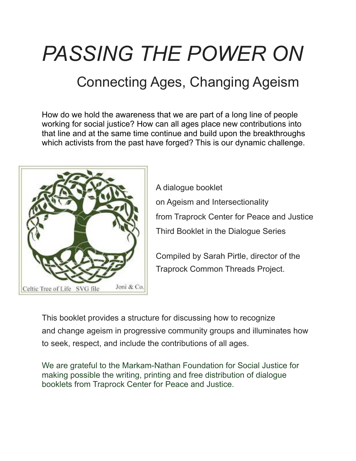# *PASSING THE POWER ON*

# Connecting Ages, Changing Ageism

How do we hold the awareness that we are part of a long line of people working for social justice? How can all ages place new contributions into that line and at the same time continue and build upon the breakthroughs which activists from the past have forged? This is our dynamic challenge.



A dialogue booklet on Ageism and Intersectionality from Traprock Center for Peace and Justice Third Booklet in the Dialogue Series

Compiled by Sarah Pirtle, director of the Traprock Common Threads Project.

This booklet provides a structure for discussing how to recognize and change ageism in progressive community groups and illuminates how to seek, respect, and include the contributions of all ages.

We are grateful to the Markam-Nathan Foundation for Social Justice for making possible the writing, printing and free distribution of dialogue booklets from Traprock Center for Peace and Justice.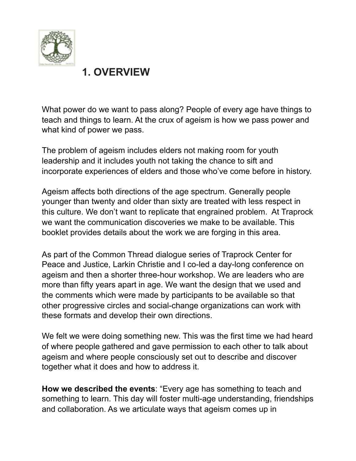

### **1. OVERVIEW**

What power do we want to pass along? People of every age have things to teach and things to learn. At the crux of ageism is how we pass power and what kind of power we pass.

The problem of ageism includes elders not making room for youth leadership and it includes youth not taking the chance to sift and incorporate experiences of elders and those who've come before in history.

Ageism affects both directions of the age spectrum. Generally people younger than twenty and older than sixty are treated with less respect in this culture. We don't want to replicate that engrained problem. At Traprock we want the communication discoveries we make to be available. This booklet provides details about the work we are forging in this area.

As part of the Common Thread dialogue series of Traprock Center for Peace and Justice, Larkin Christie and I co-led a day-long conference on ageism and then a shorter three-hour workshop. We are leaders who are more than fifty years apart in age. We want the design that we used and the comments which were made by participants to be available so that other progressive circles and social-change organizations can work with these formats and develop their own directions.

We felt we were doing something new. This was the first time we had heard of where people gathered and gave permission to each other to talk about ageism and where people consciously set out to describe and discover together what it does and how to address it.

**How we described the events**: "Every age has something to teach and something to learn. This day will foster multi-age understanding, friendships and collaboration. As we articulate ways that ageism comes up in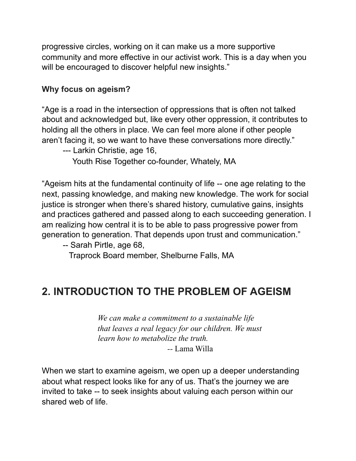progressive circles, working on it can make us a more supportive community and more effective in our activist work. This is a day when you will be encouraged to discover helpful new insights."

#### **Why focus on ageism?**

"Age is a road in the intersection of oppressions that is often not talked about and acknowledged but, like every other oppression, it contributes to holding all the others in place. We can feel more alone if other people aren't facing it, so we want to have these conversations more directly."

--- Larkin Christie, age 16,

Youth Rise Together co-founder, Whately, MA

"Ageism hits at the fundamental continuity of life -- one age relating to the next, passing knowledge, and making new knowledge. The work for social justice is stronger when there's shared history, cumulative gains, insights and practices gathered and passed along to each succeeding generation. I am realizing how central it is to be able to pass progressive power from generation to generation. That depends upon trust and communication."

-- Sarah Pirtle, age 68,

Traprock Board member, Shelburne Falls, MA

### **2. INTRODUCTION TO THE PROBLEM OF AGEISM**

*We can make a commitment to a sustainable life that leaves a real legacy for our children. We must learn how to metabolize the truth.*

 *--* Lama Willa

When we start to examine ageism, we open up a deeper understanding about what respect looks like for any of us. That's the journey we are invited to take -- to seek insights about valuing each person within our shared web of life.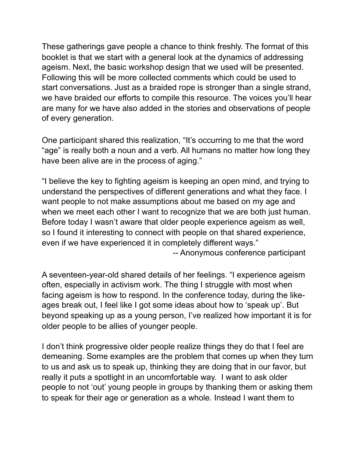These gatherings gave people a chance to think freshly. The format of this booklet is that we start with a general look at the dynamics of addressing ageism. Next, the basic workshop design that we used will be presented. Following this will be more collected comments which could be used to start conversations. Just as a braided rope is stronger than a single strand, we have braided our efforts to compile this resource. The voices you'll hear are many for we have also added in the stories and observations of people of every generation.

One participant shared this realization, "It's occurring to me that the word "age" is really both a noun and a verb. All humans no matter how long they have been alive are in the process of aging."

"I believe the key to fighting ageism is keeping an open mind, and trying to understand the perspectives of different generations and what they face. I want people to not make assumptions about me based on my age and when we meet each other I want to recognize that we are both just human. Before today I wasn't aware that older people experience ageism as well, so I found it interesting to connect with people on that shared experience, even if we have experienced it in completely different ways."

-- Anonymous conference participant

A seventeen-year-old shared details of her feelings. "I experience ageism often, especially in activism work. The thing I struggle with most when facing ageism is how to respond. In the conference today, during the likeages break out, I feel like I got some ideas about how to 'speak up'. But beyond speaking up as a young person, I've realized how important it is for older people to be allies of younger people.

I don't think progressive older people realize things they do that I feel are demeaning. Some examples are the problem that comes up when they turn to us and ask us to speak up, thinking they are doing that in our favor, but really it puts a spotlight in an uncomfortable way. I want to ask older people to not 'out' young people in groups by thanking them or asking them to speak for their age or generation as a whole. Instead I want them to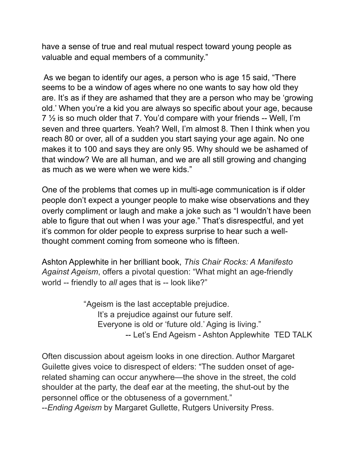have a sense of true and real mutual respect toward young people as valuable and equal members of a community."

 As we began to identify our ages, a person who is age 15 said, "There seems to be a window of ages where no one wants to say how old they are. It's as if they are ashamed that they are a person who may be 'growing old.' When you're a kid you are always so specific about your age, because  $7\frac{1}{2}$  is so much older that 7. You'd compare with your friends -- Well, I'm seven and three quarters. Yeah? Well, I'm almost 8. Then I think when you reach 80 or over, all of a sudden you start saying your age again. No one makes it to 100 and says they are only 95. Why should we be ashamed of that window? We are all human, and we are all still growing and changing as much as we were when we were kids."

One of the problems that comes up in multi-age communication is if older people don't expect a younger people to make wise observations and they overly compliment or laugh and make a joke such as "I wouldn't have been able to figure that out when I was your age." That's disrespectful, and yet it's common for older people to express surprise to hear such a wellthought comment coming from someone who is fifteen.

Ashton Applewhite in her brilliant book, *This Chair Rocks: A Manifesto Against Ageism*, offers a pivotal question: "What might an age-friendly world -- friendly to *all* ages that is -- look like?"

> "Ageism is the last acceptable prejudice. It's a prejudice against our future self. Everyone is old or 'future old.' Aging is living." -- Let's End Ageism - Ashton Applewhite TED TALK

Often discussion about ageism looks in one direction. Author Margaret Guilette gives voice to disrespect of elders: "The sudden onset of agerelated shaming can occur anywhere—the shove in the street, the cold shoulder at the party, the deaf ear at the meeting, the shut-out by the personnel office or the obtuseness of a government."

--*Ending Ageism* by Margaret Gullette, Rutgers University Press.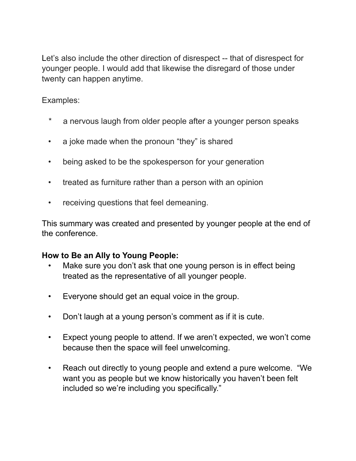Let's also include the other direction of disrespect -- that of disrespect for younger people. I would add that likewise the disregard of those under twenty can happen anytime.

Examples:

- \* a nervous laugh from older people after a younger person speaks
- a joke made when the pronoun "they" is shared
- being asked to be the spokesperson for your generation
- treated as furniture rather than a person with an opinion
- receiving questions that feel demeaning.

This summary was created and presented by younger people at the end of the conference.

#### **How to Be an Ally to Young People:**

- Make sure you don't ask that one young person is in effect being treated as the representative of all younger people.
- Everyone should get an equal voice in the group.
- Don't laugh at a young person's comment as if it is cute.
- Expect young people to attend. If we aren't expected, we won't come because then the space will feel unwelcoming.
- Reach out directly to young people and extend a pure welcome. "We want you as people but we know historically you haven't been felt included so we're including you specifically."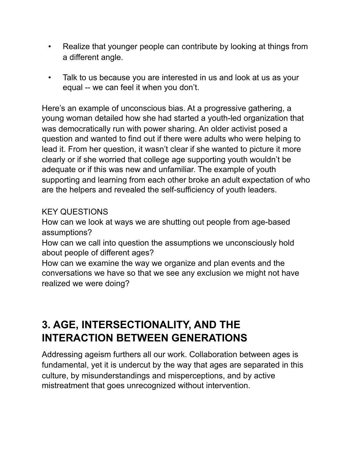- Realize that younger people can contribute by looking at things from a different angle.
- Talk to us because you are interested in us and look at us as your equal -- we can feel it when you don't.

Here's an example of unconscious bias. At a progressive gathering, a young woman detailed how she had started a youth-led organization that was democratically run with power sharing. An older activist posed a question and wanted to find out if there were adults who were helping to lead it. From her question, it wasn't clear if she wanted to picture it more clearly or if she worried that college age supporting youth wouldn't be adequate or if this was new and unfamiliar. The example of youth supporting and learning from each other broke an adult expectation of who are the helpers and revealed the self-sufficiency of youth leaders.

#### KEY QUESTIONS

How can we look at ways we are shutting out people from age-based assumptions?

How can we call into question the assumptions we unconsciously hold about people of different ages?

How can we examine the way we organize and plan events and the conversations we have so that we see any exclusion we might not have realized we were doing?

# **3. AGE, INTERSECTIONALITY, AND THE INTERACTION BETWEEN GENERATIONS**

Addressing ageism furthers all our work. Collaboration between ages is fundamental, yet it is undercut by the way that ages are separated in this culture, by misunderstandings and misperceptions, and by active mistreatment that goes unrecognized without intervention.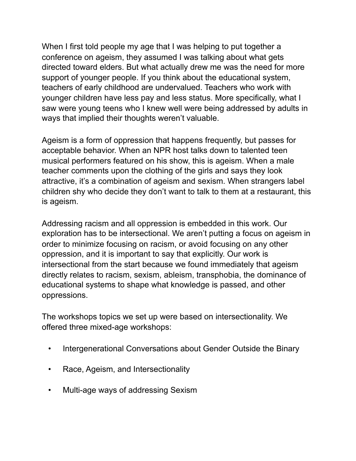When I first told people my age that I was helping to put together a conference on ageism, they assumed I was talking about what gets directed toward elders. But what actually drew me was the need for more support of younger people. If you think about the educational system, teachers of early childhood are undervalued. Teachers who work with younger children have less pay and less status. More specifically, what I saw were young teens who I knew well were being addressed by adults in ways that implied their thoughts weren't valuable.

Ageism is a form of oppression that happens frequently, but passes for acceptable behavior. When an NPR host talks down to talented teen musical performers featured on his show, this is ageism. When a male teacher comments upon the clothing of the girls and says they look attractive, it's a combination of ageism and sexism. When strangers label children shy who decide they don't want to talk to them at a restaurant, this is ageism.

Addressing racism and all oppression is embedded in this work. Our exploration has to be intersectional. We aren't putting a focus on ageism in order to minimize focusing on racism, or avoid focusing on any other oppression, and it is important to say that explicitly. Our work is intersectional from the start because we found immediately that ageism directly relates to racism, sexism, ableism, transphobia, the dominance of educational systems to shape what knowledge is passed, and other oppressions.

The workshops topics we set up were based on intersectionality. We offered three mixed-age workshops:

- Intergenerational Conversations about Gender Outside the Binary
- Race, Ageism, and Intersectionality
- Multi-age ways of addressing Sexism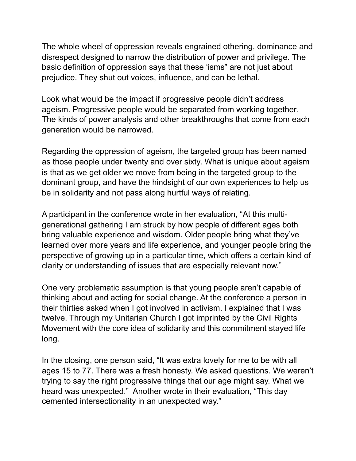The whole wheel of oppression reveals engrained othering, dominance and disrespect designed to narrow the distribution of power and privilege. The basic definition of oppression says that these 'isms" are not just about prejudice. They shut out voices, influence, and can be lethal.

Look what would be the impact if progressive people didn't address ageism. Progressive people would be separated from working together. The kinds of power analysis and other breakthroughs that come from each generation would be narrowed.

Regarding the oppression of ageism, the targeted group has been named as those people under twenty and over sixty. What is unique about ageism is that as we get older we move from being in the targeted group to the dominant group, and have the hindsight of our own experiences to help us be in solidarity and not pass along hurtful ways of relating.

A participant in the conference wrote in her evaluation, "At this multigenerational gathering I am struck by how people of different ages both bring valuable experience and wisdom. Older people bring what they've learned over more years and life experience, and younger people bring the perspective of growing up in a particular time, which offers a certain kind of clarity or understanding of issues that are especially relevant now."

One very problematic assumption is that young people aren't capable of thinking about and acting for social change. At the conference a person in their thirties asked when I got involved in activism. I explained that I was twelve. Through my Unitarian Church I got imprinted by the Civil Rights Movement with the core idea of solidarity and this commitment stayed life long.

In the closing, one person said, "It was extra lovely for me to be with all ages 15 to 77. There was a fresh honesty. We asked questions. We weren't trying to say the right progressive things that our age might say. What we heard was unexpected." Another wrote in their evaluation, "This day cemented intersectionality in an unexpected way."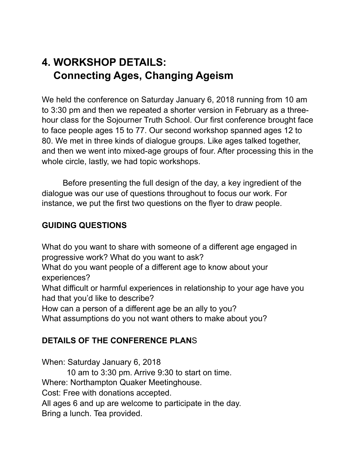# **4. WORKSHOP DETAILS: Connecting Ages, Changing Ageism**

We held the conference on Saturday January 6, 2018 running from 10 am to 3:30 pm and then we repeated a shorter version in February as a threehour class for the Sojourner Truth School. Our first conference brought face to face people ages 15 to 77. Our second workshop spanned ages 12 to 80. We met in three kinds of dialogue groups. Like ages talked together, and then we went into mixed-age groups of four. After processing this in the whole circle, lastly, we had topic workshops.

 Before presenting the full design of the day, a key ingredient of the dialogue was our use of questions throughout to focus our work. For instance, we put the first two questions on the flyer to draw people.

#### **GUIDING QUESTIONS**

What do you want to share with someone of a different age engaged in progressive work? What do you want to ask? What do you want people of a different age to know about your experiences? What difficult or harmful experiences in relationship to your age have you had that you'd like to describe? How can a person of a different age be an ally to you?

What assumptions do you not want others to make about you?

#### **DETAILS OF THE CONFERENCE PLAN**S

When: Saturday January 6, 2018

10 am to 3:30 pm. Arrive 9:30 to start on time.

Where: Northampton Quaker Meetinghouse.

Cost: Free with donations accepted.

All ages 6 and up are welcome to participate in the day.

Bring a lunch. Tea provided.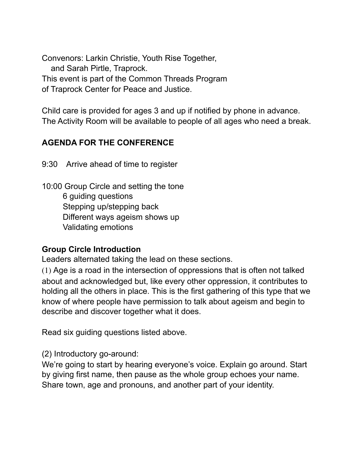Convenors: Larkin Christie, Youth Rise Together, and Sarah Pirtle, Traprock. This event is part of the Common Threads Program of Traprock Center for Peace and Justice.

Child care is provided for ages 3 and up if notified by phone in advance. The Activity Room will be available to people of all ages who need a break.

#### **AGENDA FOR THE CONFERENCE**

9:30 Arrive ahead of time to register

10:00 Group Circle and setting the tone 6 guiding questions Stepping up/stepping back Different ways ageism shows up Validating emotions

#### **Group Circle Introduction**

Leaders alternated taking the lead on these sections.

(1) Age is a road in the intersection of oppressions that is often not talked about and acknowledged but, like every other oppression, it contributes to holding all the others in place. This is the first gathering of this type that we know of where people have permission to talk about ageism and begin to describe and discover together what it does.

Read six guiding questions listed above.

(2) Introductory go-around:

We're going to start by hearing everyone's voice. Explain go around. Start by giving first name, then pause as the whole group echoes your name. Share town, age and pronouns, and another part of your identity.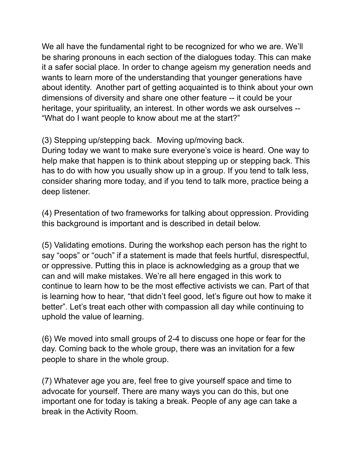We all have the fundamental right to be recognized for who we are. We'll be sharing pronouns in each section of the dialogues today. This can make it a safer social place. In order to change ageism my generation needs and wants to learn more of the understanding that younger generations have about identity. Another part of getting acquainted is to think about your own dimensions of diversity and share one other feature -- it could be your heritage, your spirituality, an interest. In other words we ask ourselves -- "What do I want people to know about me at the start?"

(3) Stepping up/stepping back. Moving up/moving back.

During today we want to make sure everyone's voice is heard. One way to help make that happen is to think about stepping up or stepping back. This has to do with how you usually show up in a group. If you tend to talk less, consider sharing more today, and if you tend to talk more, practice being a deep listener.

(4) Presentation of two frameworks for talking about oppression. Providing this background is important and is described in detail below.

(5) Validating emotions. During the workshop each person has the right to say "oops" or "ouch" if a statement is made that feels hurtful, disrespectful, or oppressive. Putting this in place is acknowledging as a group that we can and will make mistakes. We're all here engaged in this work to continue to learn how to be the most effective activists we can. Part of that is learning how to hear, "that didn't feel good, let's figure out how to make it better". Let's treat each other with compassion all day while continuing to uphold the value of learning.

(6) We moved into small groups of 2-4 to discuss one hope or fear for the day. Coming back to the whole group, there was an invitation for a few people to share in the whole group.

(7) Whatever age you are, feel free to give yourself space and time to advocate for yourself. There are many ways you can do this, but one important one for today is taking a break. People of any age can take a break in the Activity Room.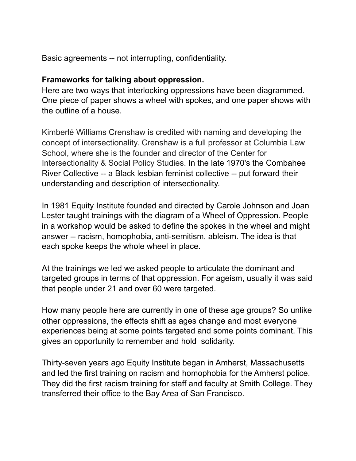Basic agreements -- not interrupting, confidentiality.

#### **Frameworks for talking about oppression.**

Here are two ways that interlocking oppressions have been diagrammed. One piece of paper shows a wheel with spokes, and one paper shows with the outline of a house.

Kimberlé Williams Crenshaw is credited with naming and developing the concept of intersectionality. Crenshaw is a full professor at Columbia Law School, where she is the founder and director of the Center for Intersectionality & Social Policy Studies. In the late 1970's the Combahee River Collective -- a Black lesbian feminist collective -- put forward their understanding and description of intersectionality.

In 1981 Equity Institute founded and directed by Carole Johnson and Joan Lester taught trainings with the diagram of a Wheel of Oppression. People in a workshop would be asked to define the spokes in the wheel and might answer -- racism, homophobia, anti-semitism, ableism. The idea is that each spoke keeps the whole wheel in place.

At the trainings we led we asked people to articulate the dominant and targeted groups in terms of that oppression. For ageism, usually it was said that people under 21 and over 60 were targeted.

How many people here are currently in one of these age groups? So unlike other oppressions, the effects shift as ages change and most everyone experiences being at some points targeted and some points dominant. This gives an opportunity to remember and hold solidarity.

Thirty-seven years ago Equity Institute began in Amherst, Massachusetts and led the first training on racism and homophobia for the Amherst police. They did the first racism training for staff and faculty at Smith College. They transferred their office to the Bay Area of San Francisco.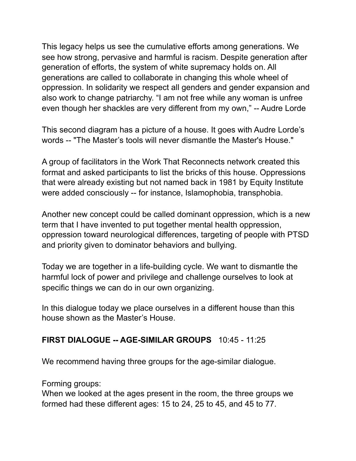This legacy helps us see the cumulative efforts among generations. We see how strong, pervasive and harmful is racism. Despite generation after generation of efforts, the system of white supremacy holds on. All generations are called to collaborate in changing this whole wheel of oppression. In solidarity we respect all genders and gender expansion and also work to change patriarchy. "I am not free while any woman is unfree even though her shackles are very different from my own," -- Audre Lorde

This second diagram has a picture of a house. It goes with Audre Lorde's words -- "The Master's tools will never dismantle the Master's House."

A group of facilitators in the Work That Reconnects network created this format and asked participants to list the bricks of this house. Oppressions that were already existing but not named back in 1981 by Equity Institute were added consciously -- for instance, Islamophobia, transphobia.

Another new concept could be called dominant oppression, which is a new term that I have invented to put together mental health oppression, oppression toward neurological differences, targeting of people with PTSD and priority given to dominator behaviors and bullying.

Today we are together in a life-building cycle. We want to dismantle the harmful lock of power and privilege and challenge ourselves to look at specific things we can do in our own organizing.

In this dialogue today we place ourselves in a different house than this house shown as the Master's House.

#### **FIRST DIALOGUE -- AGE-SIMILAR GROUPS** 10:45 - 11:25

We recommend having three groups for the age-similar dialogue.

Forming groups:

When we looked at the ages present in the room, the three groups we formed had these different ages: 15 to 24, 25 to 45, and 45 to 77.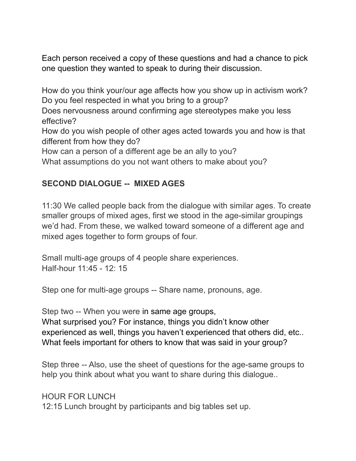Each person received a copy of these questions and had a chance to pick one question they wanted to speak to during their discussion.

How do you think your/our age affects how you show up in activism work? Do you feel respected in what you bring to a group?

Does nervousness around confirming age stereotypes make you less effective?

How do you wish people of other ages acted towards you and how is that different from how they do?

How can a person of a different age be an ally to you?

What assumptions do you not want others to make about you?

#### **SECOND DIALOGUE -- MIXED AGES**

11:30 We called people back from the dialogue with similar ages. To create smaller groups of mixed ages, first we stood in the age-similar groupings we'd had. From these, we walked toward someone of a different age and mixed ages together to form groups of four.

Small multi-age groups of 4 people share experiences. Half-hour 11:45 - 12: 15

Step one for multi-age groups -- Share name, pronouns, age.

Step two -- When you were in same age groups, What surprised you? For instance, things you didn't know other

experienced as well, things you haven't experienced that others did, etc.. What feels important for others to know that was said in your group?

Step three -- Also, use the sheet of questions for the age-same groups to help you think about what you want to share during this dialogue..

HOUR FOR LUNCH 12:15 Lunch brought by participants and big tables set up.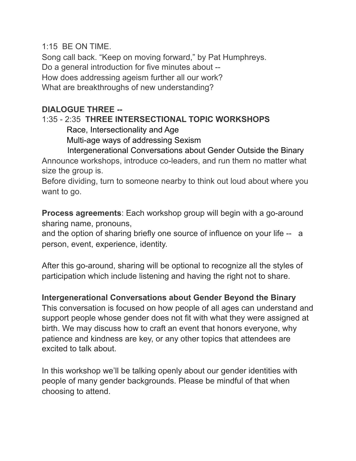1:15 BE ON TIME.

Song call back. "Keep on moving forward," by Pat Humphreys. Do a general introduction for five minutes about -- How does addressing ageism further all our work? What are breakthroughs of new understanding?

#### **DIALOGUE THREE --**

## 1:35 - 2:35 **THREE INTERSECTIONAL TOPIC WORKSHOPS**

Race, Intersectionality and Age

Multi-age ways of addressing Sexism

Intergenerational Conversations about Gender Outside the Binary

Announce workshops, introduce co-leaders, and run them no matter what size the group is.

Before dividing, turn to someone nearby to think out loud about where you want to go.

**Process agreements**: Each workshop group will begin with a go-around sharing name, pronouns,

and the option of sharing briefly one source of influence on your life -- a person, event, experience, identity.

After this go-around, sharing will be optional to recognize all the styles of participation which include listening and having the right not to share.

#### **Intergenerational Conversations about Gender Beyond the Binary**

This conversation is focused on how people of all ages can understand and support people whose gender does not fit with what they were assigned at birth. We may discuss how to craft an event that honors everyone, why patience and kindness are key, or any other topics that attendees are excited to talk about.

In this workshop we'll be talking openly about our gender identities with people of many gender backgrounds. Please be mindful of that when choosing to attend.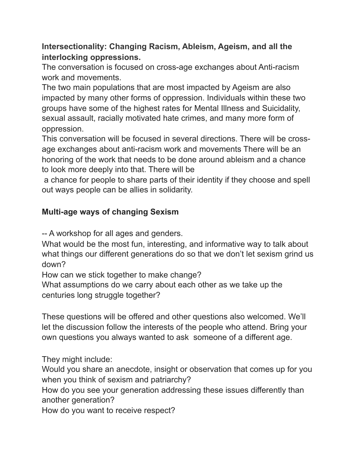#### **Intersectionality: Changing Racism, Ableism, Ageism, and all the interlocking oppressions.**

The conversation is focused on cross-age exchanges about Anti-racism work and movements.

The two main populations that are most impacted by Ageism are also impacted by many other forms of oppression. Individuals within these two groups have some of the highest rates for Mental Illness and Suicidality, sexual assault, racially motivated hate crimes, and many more form of oppression.

This conversation will be focused in several directions. There will be crossage exchanges about anti-racism work and movements There will be an honoring of the work that needs to be done around ableism and a chance to look more deeply into that. There will be

 a chance for people to share parts of their identity if they choose and spell out ways people can be allies in solidarity.

#### **Multi-age ways of changing Sexism**

-- A workshop for all ages and genders.

What would be the most fun, interesting, and informative way to talk about what things our different generations do so that we don't let sexism grind us down?

How can we stick together to make change?

What assumptions do we carry about each other as we take up the centuries long struggle together?

These questions will be offered and other questions also welcomed. We'll let the discussion follow the interests of the people who attend. Bring your own questions you always wanted to ask someone of a different age.

They might include:

Would you share an anecdote, insight or observation that comes up for you when you think of sexism and patriarchy?

How do you see your generation addressing these issues differently than another generation?

How do you want to receive respect?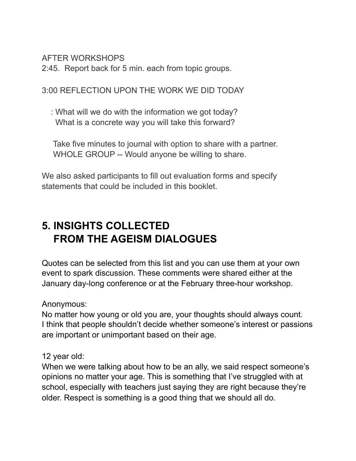AFTER WORKSHOPS

2:45. Report back for 5 min. each from topic groups.

3:00 REFLECTION UPON THE WORK WE DID TODAY

 : What will we do with the information we got today? What is a concrete way you will take this forward?

 Take five minutes to journal with option to share with a partner. WHOLE GROUP -- Would anyone be willing to share.

We also asked participants to fill out evaluation forms and specify statements that could be included in this booklet.

# **5. INSIGHTS COLLECTED FROM THE AGEISM DIALOGUES**

Quotes can be selected from this list and you can use them at your own event to spark discussion. These comments were shared either at the January day-long conference or at the February three-hour workshop.

Anonymous:

No matter how young or old you are, your thoughts should always count. I think that people shouldn't decide whether someone's interest or passions are important or unimportant based on their age.

12 year old:

When we were talking about how to be an ally, we said respect someone's opinions no matter your age. This is something that I've struggled with at school, especially with teachers just saying they are right because they're older. Respect is something is a good thing that we should all do.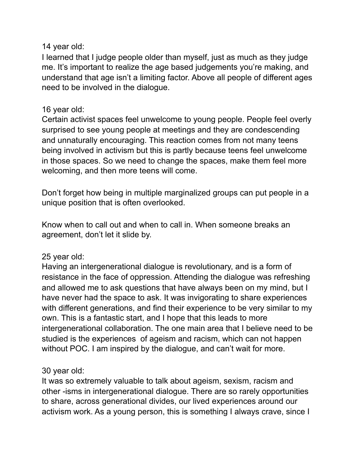#### 14 year old:

I learned that I judge people older than myself, just as much as they judge me. It's important to realize the age based judgements you're making, and understand that age isn't a limiting factor. Above all people of different ages need to be involved in the dialogue.

#### 16 year old:

Certain activist spaces feel unwelcome to young people. People feel overly surprised to see young people at meetings and they are condescending and unnaturally encouraging. This reaction comes from not many teens being involved in activism but this is partly because teens feel unwelcome in those spaces. So we need to change the spaces, make them feel more welcoming, and then more teens will come.

Don't forget how being in multiple marginalized groups can put people in a unique position that is often overlooked.

Know when to call out and when to call in. When someone breaks an agreement, don't let it slide by.

#### 25 year old:

Having an intergenerational dialogue is revolutionary, and is a form of resistance in the face of oppression. Attending the dialogue was refreshing and allowed me to ask questions that have always been on my mind, but I have never had the space to ask. It was invigorating to share experiences with different generations, and find their experience to be very similar to my own. This is a fantastic start, and I hope that this leads to more intergenerational collaboration. The one main area that I believe need to be studied is the experiences of ageism and racism, which can not happen without POC. I am inspired by the dialogue, and can't wait for more.

#### 30 year old:

It was so extremely valuable to talk about ageism, sexism, racism and other -isms in intergenerational dialogue. There are so rarely opportunities to share, across generational divides, our lived experiences around our activism work. As a young person, this is something I always crave, since I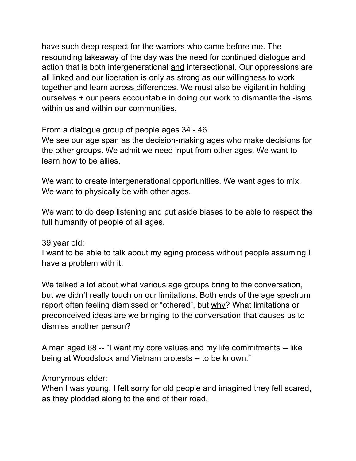have such deep respect for the warriors who came before me. The resounding takeaway of the day was the need for continued dialogue and action that is both intergenerational and intersectional. Our oppressions are all linked and our liberation is only as strong as our willingness to work together and learn across differences. We must also be vigilant in holding ourselves + our peers accountable in doing our work to dismantle the -isms within us and within our communities.

From a dialogue group of people ages 34 - 46

We see our age span as the decision-making ages who make decisions for the other groups. We admit we need input from other ages. We want to learn how to be allies.

We want to create intergenerational opportunities. We want ages to mix. We want to physically be with other ages.

We want to do deep listening and put aside biases to be able to respect the full humanity of people of all ages.

39 year old:

I want to be able to talk about my aging process without people assuming I have a problem with it.

We talked a lot about what various age groups bring to the conversation, but we didn't really touch on our limitations. Both ends of the age spectrum report often feeling dismissed or "othered", but why? What limitations or preconceived ideas are we bringing to the conversation that causes us to dismiss another person?

A man aged 68 -- "I want my core values and my life commitments -- like being at Woodstock and Vietnam protests -- to be known."

Anonymous elder:

When I was young, I felt sorry for old people and imagined they felt scared, as they plodded along to the end of their road.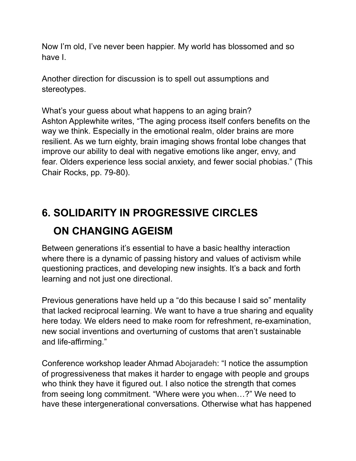Now I'm old, I've never been happier. My world has blossomed and so have I.

Another direction for discussion is to spell out assumptions and stereotypes.

What's your guess about what happens to an aging brain? Ashton Applewhite writes, "The aging process itself confers benefits on the way we think. Especially in the emotional realm, older brains are more resilient. As we turn eighty, brain imaging shows frontal lobe changes that improve our ability to deal with negative emotions like anger, envy, and fear. Olders experience less social anxiety, and fewer social phobias." (This Chair Rocks, pp. 79-80).

# **6. SOLIDARITY IN PROGRESSIVE CIRCLES ON CHANGING AGEISM**

Between generations it's essential to have a basic healthy interaction where there is a dynamic of passing history and values of activism while questioning practices, and developing new insights. It's a back and forth learning and not just one directional.

Previous generations have held up a "do this because I said so" mentality that lacked reciprocal learning. We want to have a true sharing and equality here today. We elders need to make room for refreshment, re-examination, new social inventions and overturning of customs that aren't sustainable and life-affirming."

Conference workshop leader Ahmad Abojaradeh: "I notice the assumption of progressiveness that makes it harder to engage with people and groups who think they have it figured out. I also notice the strength that comes from seeing long commitment. "Where were you when…?" We need to have these intergenerational conversations. Otherwise what has happened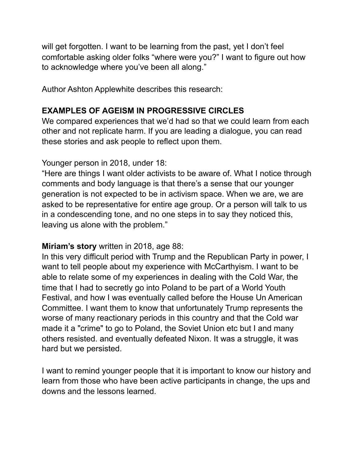will get forgotten. I want to be learning from the past, yet I don't feel comfortable asking older folks "where were you?" I want to figure out how to acknowledge where you've been all along."

Author Ashton Applewhite describes this research:

#### **EXAMPLES OF AGEISM IN PROGRESSIVE CIRCLES**

We compared experiences that we'd had so that we could learn from each other and not replicate harm. If you are leading a dialogue, you can read these stories and ask people to reflect upon them.

#### Younger person in 2018, under 18:

"Here are things I want older activists to be aware of. What I notice through comments and body language is that there's a sense that our younger generation is not expected to be in activism space. When we are, we are asked to be representative for entire age group. Or a person will talk to us in a condescending tone, and no one steps in to say they noticed this, leaving us alone with the problem."

#### **Miriam's story** written in 2018, age 88:

In this very difficult period with Trump and the Republican Party in power, I want to tell people about my experience with McCarthyism. I want to be able to relate some of my experiences in dealing with the Cold War, the time that I had to secretly go into Poland to be part of a World Youth Festival, and how I was eventually called before the House Un American Committee. I want them to know that unfortunately Trump represents the worse of many reactionary periods in this country and that the Cold war made it a "crime" to go to Poland, the Soviet Union etc but I and many others resisted. and eventually defeated Nixon. It was a struggle, it was hard but we persisted.

I want to remind younger people that it is important to know our history and learn from those who have been active participants in change, the ups and downs and the lessons learned.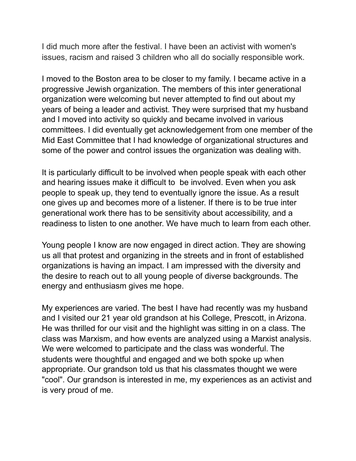I did much more after the festival. I have been an activist with women's issues, racism and raised 3 children who all do socially responsible work.

I moved to the Boston area to be closer to my family. I became active in a progressive Jewish organization. The members of this inter generational organization were welcoming but never attempted to find out about my years of being a leader and activist. They were surprised that my husband and I moved into activity so quickly and became involved in various committees. I did eventually get acknowledgement from one member of the Mid East Committee that I had knowledge of organizational structures and some of the power and control issues the organization was dealing with.

It is particularly difficult to be involved when people speak with each other and hearing issues make it difficult to be involved. Even when you ask people to speak up, they tend to eventually ignore the issue. As a result one gives up and becomes more of a listener. If there is to be true inter generational work there has to be sensitivity about accessibility, and a readiness to listen to one another. We have much to learn from each other.

Young people I know are now engaged in direct action. They are showing us all that protest and organizing in the streets and in front of established organizations is having an impact. I am impressed with the diversity and the desire to reach out to all young people of diverse backgrounds. The energy and enthusiasm gives me hope.

My experiences are varied. The best I have had recently was my husband and I visited our 21 year old grandson at his College, Prescott, in Arizona. He was thrilled for our visit and the highlight was sitting in on a class. The class was Marxism, and how events are analyzed using a Marxist analysis. We were welcomed to participate and the class was wonderful. The students were thoughtful and engaged and we both spoke up when appropriate. Our grandson told us that his classmates thought we were "cool". Our grandson is interested in me, my experiences as an activist and is very proud of me.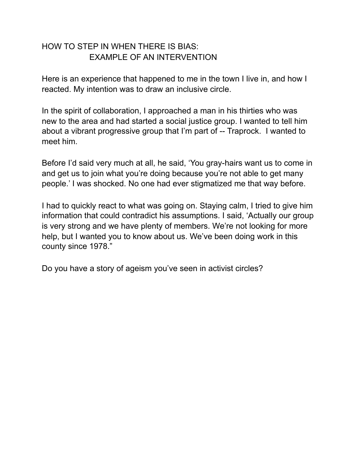#### HOW TO STEP IN WHEN THERE IS BIAS: EXAMPLE OF AN INTERVENTION

Here is an experience that happened to me in the town I live in, and how I reacted. My intention was to draw an inclusive circle.

In the spirit of collaboration, I approached a man in his thirties who was new to the area and had started a social justice group. I wanted to tell him about a vibrant progressive group that I'm part of -- Traprock. I wanted to meet him.

Before I'd said very much at all, he said, 'You gray-hairs want us to come in and get us to join what you're doing because you're not able to get many people.' I was shocked. No one had ever stigmatized me that way before.

I had to quickly react to what was going on. Staying calm, I tried to give him information that could contradict his assumptions. I said, 'Actually our group is very strong and we have plenty of members. We're not looking for more help, but I wanted you to know about us. We've been doing work in this county since 1978."

Do you have a story of ageism you've seen in activist circles?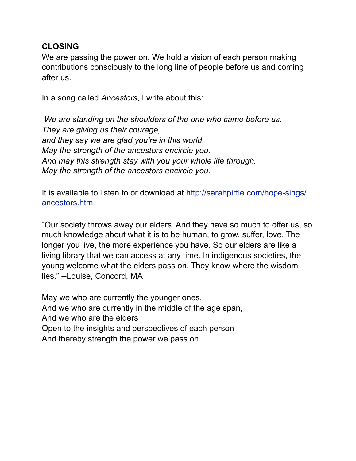#### **CLOSING**

We are passing the power on. We hold a vision of each person making contributions consciously to the long line of people before us and coming after us.

In a song called *Ancestors*, I write about this:

 *We are standing on the shoulders of the one who came before us. They are giving us their courage, and they say we are glad you're in this world. May the strength of the ancestors encircle you. And may this strength stay with you your whole life through. May the strength of the ancestors encircle you.*

It is available to listen to or download at [http://sarahpirtle.com/hope-sings/](http://sarahpirtle.com/hope-sings/ancestors.htm) [ancestors.htm](http://sarahpirtle.com/hope-sings/ancestors.htm)

"Our society throws away our elders. And they have so much to offer us, so much knowledge about what it is to be human, to grow, suffer, love. The longer you live, the more experience you have. So our elders are like a living library that we can access at any time. In indigenous societies, the young welcome what the elders pass on. They know where the wisdom lies." --Louise, Concord, MA

May we who are currently the younger ones, And we who are currently in the middle of the age span, And we who are the elders Open to the insights and perspectives of each person And thereby strength the power we pass on.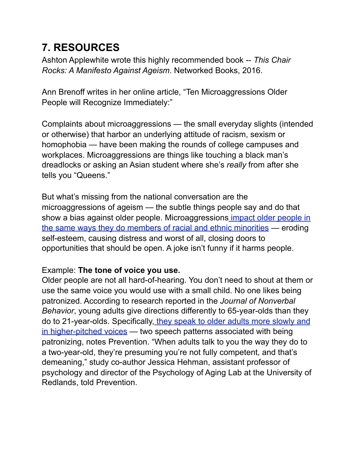# **7. RESOURCES**

Ashton Applewhite wrote this highly recommended book -- *This Chair Rocks: A Manifesto Against Ageism*. Networked Books, 2016.

Ann Brenoff writes in her online article, "Ten Microaggressions Older People will Recognize Immediately:"

Complaints about microaggressions — the small everyday slights (intended or otherwise) that harbor an underlying attitude of racism, sexism or homophobia — have been making the rounds of college campuses and workplaces. Microaggressions are things like touching a black man's dreadlocks or asking an Asian student where she's *really* from after she tells you "Queens."

But what's missing from the national conversation are the microaggressions of ageism — the subtle things people say and do that show a bias against older people. Microaggression[s impact older people in](http://agingandwork.bc.edu/blog/the-costs-of-age-related-microaggressions/)  [the same ways they do members of racial and ethnic minorities](http://agingandwork.bc.edu/blog/the-costs-of-age-related-microaggressions/) — eroding self-esteem, causing distress and worst of all, closing doors to opportunities that should be open. A joke isn't funny if it harms people.

#### Example: **The tone of voice you use.**

Older people are not all hard-of-hearing. You don't need to shout at them or use the same voice you would use with a small child. No one likes being patronized. According to research reported in the *Journal of Nonverbal Behavior*, young adults give directions differently to 65-year-olds than they do to 21-year-olds. Specifically[, they speak to older adults more slowly and](http://www.prevention.com/mind-body/emotional-health/steps-handle-patronizing-people)  [in higher-pitched voices](http://www.prevention.com/mind-body/emotional-health/steps-handle-patronizing-people) - two speech patterns associated with being patronizing, notes Prevention. "When adults talk to you the way they do to a two-year-old, they're presuming you're not fully competent, and that's demeaning," study co-author Jessica Hehman, assistant professor of psychology and director of the Psychology of Aging Lab at the University of Redlands, told Prevention.